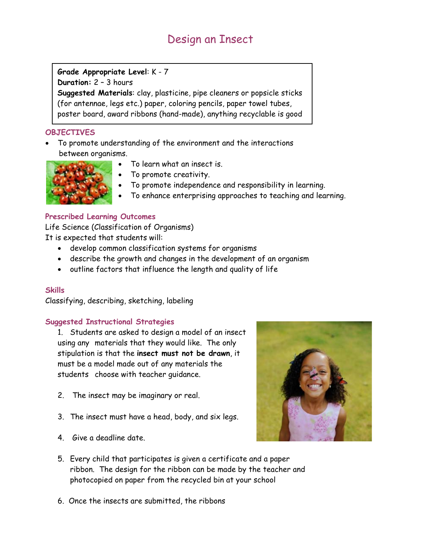# Design an Insect

# **Grade Appropriate Level**: K - 7

**Duration:** 2 – 3 hours

**Suggested Materials**: clay, plasticine, pipe cleaners or popsicle sticks (for antennae, legs etc.) paper, coloring pencils, paper towel tubes, poster board, award ribbons (hand-made), anything recyclable is good

## **OBJECTIVES**

• To promote understanding of the environment and the interactions between organisms.



- To learn what an insect is.
- To promote creativity.
- To promote independence and responsibility in learning.
- To enhance enterprising approaches to teaching and learning.

## **Prescribed Learning Outcomes**

Life Science (Classification of Organisms) It is expected that students will:

- develop common classification systems for organisms
- describe the growth and changes in the development of an organism
- outline factors that influence the length and quality of life

## **Skills**

Classifying, describing, sketching, labeling

## **Suggested Instructional Strategies**

1. Students are asked to design a model of an insect using any materials that they would like. The only stipulation is that the **insect must not be drawn**, it must be a model made out of any materials the students choose with teacher guidance.

- 2. The insect may be imaginary or real.
- 3. The insect must have a head, body, and six legs.
- 4. Give a deadline date.



- 5. Every child that participates is given a certificate and a paper ribbon. The design for the ribbon can be made by the teacher and photocopied on paper from the recycled bin at your school
- 6. Once the insects are submitted, the ribbons